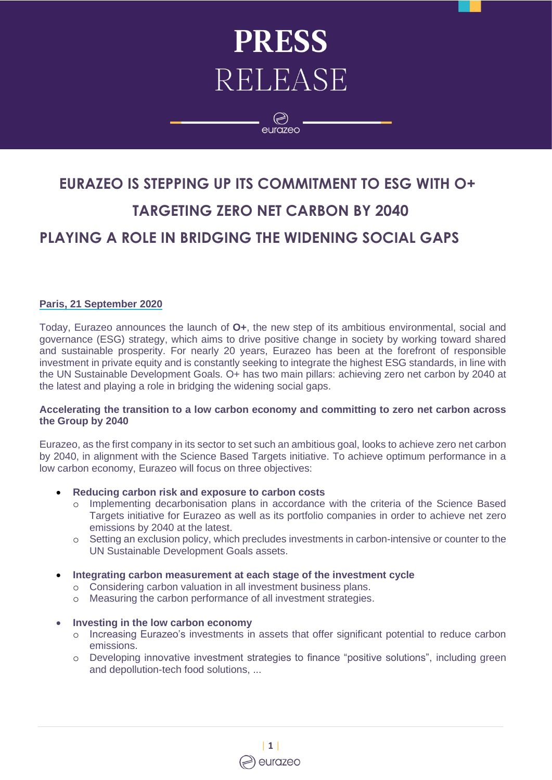# **PRESS** RELEASE

 $\textcircled{\scriptsize{}}$ eurazeo

## **EURAZEO IS STEPPING UP ITS COMMITMENT TO ESG WITH O+ TARGETING ZERO NET CARBON BY 2040 PLAYING A ROLE IN BRIDGING THE WIDENING SOCIAL GAPS**

#### **Paris, 21 September 2020**

Today, Eurazeo announces the launch of **O+**, the new step of its ambitious environmental, social and governance (ESG) strategy, which aims to drive positive change in society by working toward shared and sustainable prosperity. For nearly 20 years, Eurazeo has been at the forefront of responsible investment in private equity and is constantly seeking to integrate the highest ESG standards, in line with the UN Sustainable Development Goals. O+ has two main pillars: achieving zero net carbon by 2040 at the latest and playing a role in bridging the widening social gaps.

#### **Accelerating the transition to a low carbon economy and committing to zero net carbon across the Group by 2040**

Eurazeo, as the first company in its sector to set such an ambitious goal, looks to achieve zero net carbon by 2040, in alignment with the Science Based Targets initiative. To achieve optimum performance in a low carbon economy, Eurazeo will focus on three objectives:

- **Reducing carbon risk and exposure to carbon costs**
	- o Implementing decarbonisation plans in accordance with the criteria of the Science Based Targets initiative for Eurazeo as well as its portfolio companies in order to achieve net zero emissions by 2040 at the latest.
	- o Setting an exclusion policy, which precludes investments in carbon-intensive or counter to the UN Sustainable Development Goals assets.
- **Integrating carbon measurement at each stage of the investment cycle**
	- o Considering carbon valuation in all investment business plans.
	- o Measuring the carbon performance of all investment strategies.

#### • **Investing in the low carbon economy**

- o Increasing Eurazeo's investments in assets that offer significant potential to reduce carbon emissions.
- o Developing innovative investment strategies to finance "positive solutions", including green and depollution-tech food solutions, ...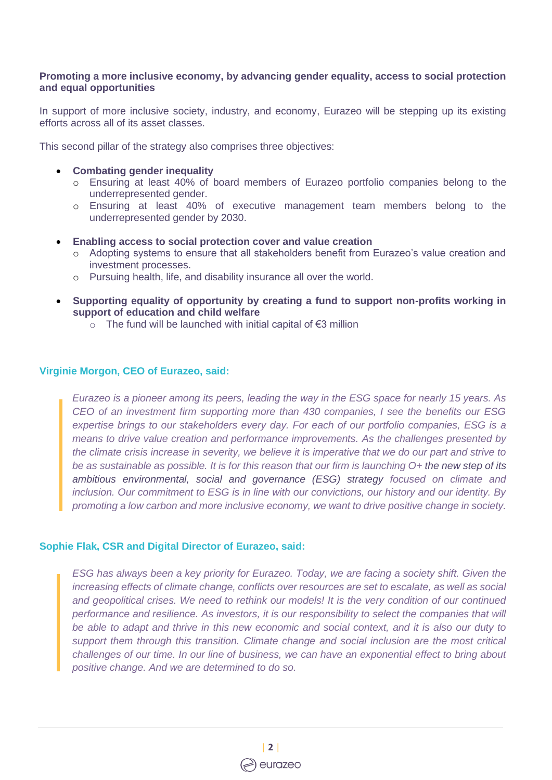#### **Promoting a more inclusive economy, by advancing gender equality, access to social protection and equal opportunities**

In support of more inclusive society, industry, and economy, Eurazeo will be stepping up its existing efforts across all of its asset classes.

This second pillar of the strategy also comprises three objectives:

#### • **Combating gender inequality**

- o Ensuring at least 40% of board members of Eurazeo portfolio companies belong to the underrepresented gender.
- o Ensuring at least 40% of executive management team members belong to the underrepresented gender by 2030.
- **Enabling access to social protection cover and value creation** 
	- o Adopting systems to ensure that all stakeholders benefit from Eurazeo's value creation and investment processes.
	- o Pursuing health, life, and disability insurance all over the world.
- **Supporting equality of opportunity by creating a fund to support non-profits working in support of education and child welfare** 
	- o The fund will be launched with initial capital of €3 million

#### **Virginie Morgon, CEO of Eurazeo, said:**

*Eurazeo is a pioneer among its peers, leading the way in the ESG space for nearly 15 years. As CEO of an investment firm supporting more than 430 companies, I see the benefits our ESG expertise brings to our stakeholders every day. For each of our portfolio companies, ESG is a means to drive value creation and performance improvements. As the challenges presented by the climate crisis increase in severity, we believe it is imperative that we do our part and strive to be as sustainable as possible. It is for this reason that our firm is launching O+ the new step of its ambitious environmental, social and governance (ESG) strategy focused on climate and inclusion. Our commitment to ESG is in line with our convictions, our history and our identity. By promoting a low carbon and more inclusive economy, we want to drive positive change in society.* 

#### **Sophie Flak, CSR and Digital Director of Eurazeo, said:**

*ESG has always been a key priority for Eurazeo. Today, we are facing a society shift. Given the increasing effects of climate change, conflicts over resources are set to escalate, as well as social and geopolitical crises. We need to rethink our models! It is the very condition of our continued performance and resilience. As investors, it is our responsibility to select the companies that will be able to adapt and thrive in this new economic and social context, and it is also our duty to support them through this transition. Climate change and social inclusion are the most critical challenges of our time. In our line of business, we can have an exponential effect to bring about positive change. And we are determined to do so.*